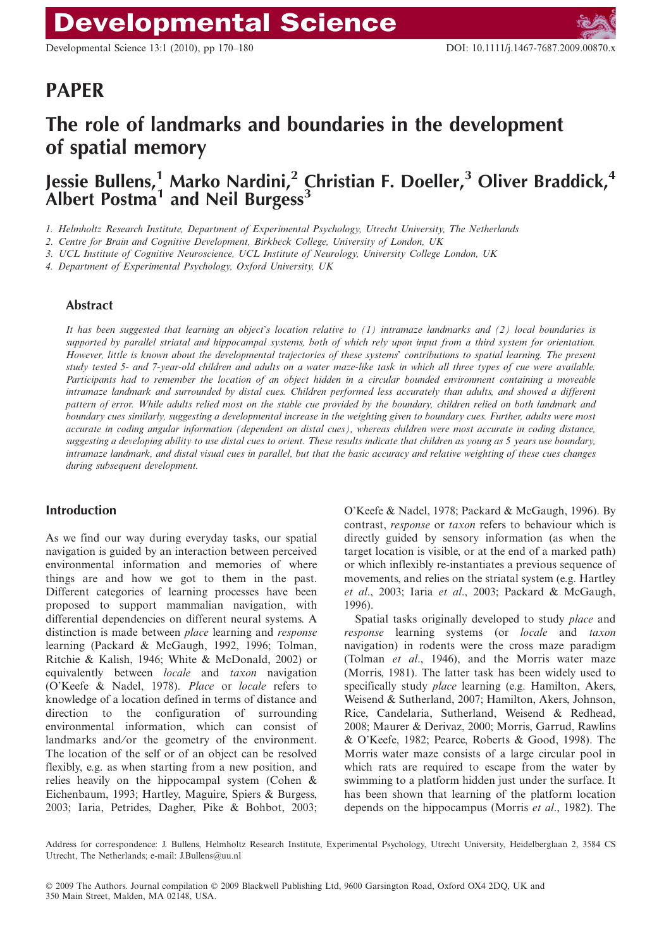# PAPER

# The role of landmarks and boundaries in the development of spatial memory

## Jessie Bullens,<sup>1</sup> Marko Nardini,<sup>2</sup> Christian F. Doeller,<sup>3</sup> Oliver Braddick,<sup>4</sup> Albert Postma<sup>1</sup> and Neil Burgess<sup>3</sup>

1. Helmholtz Research Institute, Department of Experimental Psychology, Utrecht University, The Netherlands

2. Centre for Brain and Cognitive Development, Birkbeck College, University of London, UK

3. UCL Institute of Cognitive Neuroscience, UCL Institute of Neurology, University College London, UK

4. Department of Experimental Psychology, Oxford University, UK

## Abstract

It has been suggested that learning an object's location relative to (1) intramaze landmarks and (2) local boundaries is supported by parallel striatal and hippocampal systems, both of which rely upon input from a third system for orientation. However, little is known about the developmental trajectories of these systems' contributions to spatial learning. The present study tested 5- and 7-year-old children and adults on a water maze-like task in which all three types of cue were available. Participants had to remember the location of an object hidden in a circular bounded environment containing a moveable intramaze landmark and surrounded by distal cues. Children performed less accurately than adults, and showed a different pattern of error. While adults relied most on the stable cue provided by the boundary, children relied on both landmark and boundary cues similarly, suggesting a developmental increase in the weighting given to boundary cues. Further, adults were most accurate in coding angular information (dependent on distal cues), whereas children were most accurate in coding distance, suggesting a developing ability to use distal cues to orient. These results indicate that children as young as 5 years use boundary, intramaze landmark, and distal visual cues in parallel, but that the basic accuracy and relative weighting of these cues changes during subsequent development.

## Introduction

As we find our way during everyday tasks, our spatial navigation is guided by an interaction between perceived environmental information and memories of where things are and how we got to them in the past. Different categories of learning processes have been proposed to support mammalian navigation, with differential dependencies on different neural systems. A distinction is made between place learning and response learning (Packard & McGaugh, 1992, 1996; Tolman, Ritchie & Kalish, 1946; White & McDonald, 2002) or equivalently between locale and taxon navigation (O'Keefe & Nadel, 1978). Place or locale refers to knowledge of a location defined in terms of distance and direction to the configuration of surrounding environmental information, which can consist of landmarks and/or the geometry of the environment. The location of the self or of an object can be resolved flexibly, e.g. as when starting from a new position, and relies heavily on the hippocampal system (Cohen & Eichenbaum, 1993; Hartley, Maguire, Spiers & Burgess, 2003; Iaria, Petrides, Dagher, Pike & Bohbot, 2003; O'Keefe & Nadel, 1978; Packard & McGaugh, 1996). By contrast, response or taxon refers to behaviour which is directly guided by sensory information (as when the target location is visible, or at the end of a marked path) or which inflexibly re-instantiates a previous sequence of movements, and relies on the striatal system (e.g. Hartley et al., 2003; Iaria et al., 2003; Packard & McGaugh, 1996).

Spatial tasks originally developed to study place and response learning systems (or locale and taxon navigation) in rodents were the cross maze paradigm (Tolman et al., 1946), and the Morris water maze (Morris, 1981). The latter task has been widely used to specifically study *place* learning (e.g. Hamilton, Akers, Weisend & Sutherland, 2007; Hamilton, Akers, Johnson, Rice, Candelaria, Sutherland, Weisend & Redhead, 2008; Maurer & Derivaz, 2000; Morris, Garrud, Rawlins & O'Keefe, 1982; Pearce, Roberts & Good, 1998). The Morris water maze consists of a large circular pool in which rats are required to escape from the water by swimming to a platform hidden just under the surface. It has been shown that learning of the platform location depends on the hippocampus (Morris et al., 1982). The

Address for correspondence: J. Bullens, Helmholtz Research Institute, Experimental Psychology, Utrecht University, Heidelberglaan 2, 3584 CS Utrecht, The Netherlands; e-mail: J.Bullens@uu.nl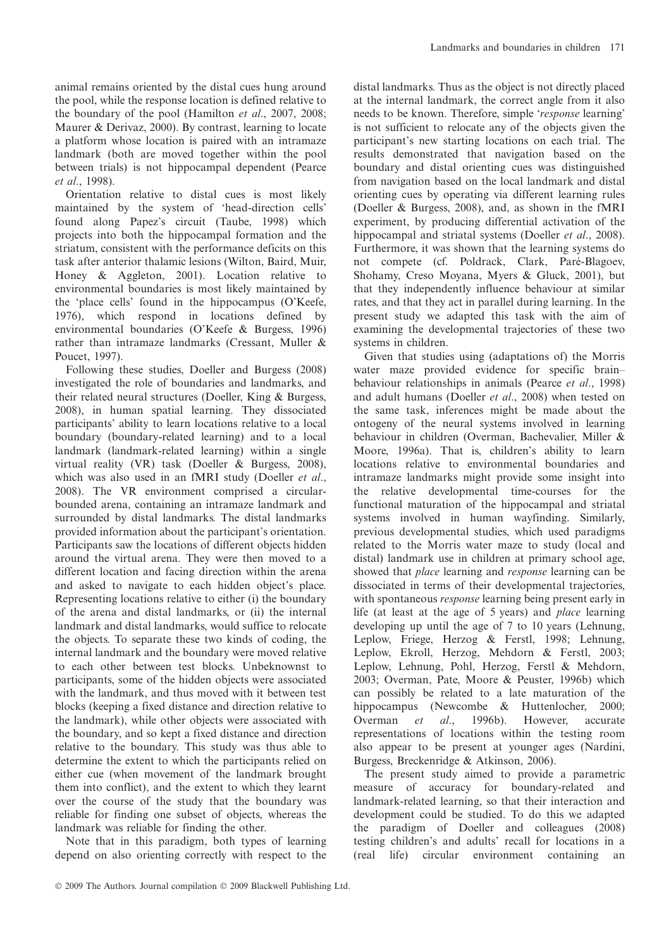animal remains oriented by the distal cues hung around the pool, while the response location is defined relative to the boundary of the pool (Hamilton et al., 2007, 2008; Maurer & Derivaz, 2000). By contrast, learning to locate a platform whose location is paired with an intramaze landmark (both are moved together within the pool between trials) is not hippocampal dependent (Pearce et al., 1998).

Orientation relative to distal cues is most likely maintained by the system of 'head-direction cells' found along Papez's circuit (Taube, 1998) which projects into both the hippocampal formation and the striatum, consistent with the performance deficits on this task after anterior thalamic lesions (Wilton, Baird, Muir, Honey & Aggleton, 2001). Location relative to environmental boundaries is most likely maintained by the 'place cells' found in the hippocampus (O'Keefe, 1976), which respond in locations defined by environmental boundaries (O'Keefe & Burgess, 1996) rather than intramaze landmarks (Cressant, Muller & Poucet, 1997).

Following these studies, Doeller and Burgess (2008) investigated the role of boundaries and landmarks, and their related neural structures (Doeller, King & Burgess, 2008), in human spatial learning. They dissociated participants' ability to learn locations relative to a local boundary (boundary-related learning) and to a local landmark (landmark-related learning) within a single virtual reality (VR) task (Doeller & Burgess, 2008), which was also used in an fMRI study (Doeller et al., 2008). The VR environment comprised a circularbounded arena, containing an intramaze landmark and surrounded by distal landmarks. The distal landmarks provided information about the participant's orientation. Participants saw the locations of different objects hidden around the virtual arena. They were then moved to a different location and facing direction within the arena and asked to navigate to each hidden object's place. Representing locations relative to either (i) the boundary of the arena and distal landmarks, or (ii) the internal landmark and distal landmarks, would suffice to relocate the objects. To separate these two kinds of coding, the internal landmark and the boundary were moved relative to each other between test blocks. Unbeknownst to participants, some of the hidden objects were associated with the landmark, and thus moved with it between test blocks (keeping a fixed distance and direction relative to the landmark), while other objects were associated with the boundary, and so kept a fixed distance and direction relative to the boundary. This study was thus able to determine the extent to which the participants relied on either cue (when movement of the landmark brought them into conflict), and the extent to which they learnt over the course of the study that the boundary was reliable for finding one subset of objects, whereas the landmark was reliable for finding the other.

Note that in this paradigm, both types of learning depend on also orienting correctly with respect to the distal landmarks. Thus as the object is not directly placed at the internal landmark, the correct angle from it also needs to be known. Therefore, simple 'response learning' is not sufficient to relocate any of the objects given the participant's new starting locations on each trial. The results demonstrated that navigation based on the boundary and distal orienting cues was distinguished from navigation based on the local landmark and distal orienting cues by operating via different learning rules (Doeller & Burgess, 2008), and, as shown in the fMRI experiment, by producing differential activation of the hippocampal and striatal systems (Doeller et al., 2008). Furthermore, it was shown that the learning systems do not compete (cf. Poldrack, Clark, Paré-Blagoev, Shohamy, Creso Moyana, Myers & Gluck, 2001), but that they independently influence behaviour at similar rates, and that they act in parallel during learning. In the present study we adapted this task with the aim of examining the developmental trajectories of these two systems in children.

Given that studies using (adaptations of) the Morris water maze provided evidence for specific brain– behaviour relationships in animals (Pearce et al., 1998) and adult humans (Doeller et al., 2008) when tested on the same task, inferences might be made about the ontogeny of the neural systems involved in learning behaviour in children (Overman, Bachevalier, Miller & Moore, 1996a). That is, children's ability to learn locations relative to environmental boundaries and intramaze landmarks might provide some insight into the relative developmental time-courses for the functional maturation of the hippocampal and striatal systems involved in human wayfinding. Similarly, previous developmental studies, which used paradigms related to the Morris water maze to study (local and distal) landmark use in children at primary school age, showed that *place* learning and *response* learning can be dissociated in terms of their developmental trajectories, with spontaneous response learning being present early in life (at least at the age of 5 years) and place learning developing up until the age of 7 to 10 years (Lehnung, Leplow, Friege, Herzog & Ferstl, 1998; Lehnung, Leplow, Ekroll, Herzog, Mehdorn & Ferstl, 2003; Leplow, Lehnung, Pohl, Herzog, Ferstl & Mehdorn, 2003; Overman, Pate, Moore & Peuster, 1996b) which can possibly be related to a late maturation of the hippocampus (Newcombe & Huttenlocher, 2000; Overman et al., 1996b). However, accurate representations of locations within the testing room also appear to be present at younger ages (Nardini, Burgess, Breckenridge & Atkinson, 2006).

The present study aimed to provide a parametric measure of accuracy for boundary-related and landmark-related learning, so that their interaction and development could be studied. To do this we adapted the paradigm of Doeller and colleagues (2008) testing children's and adults' recall for locations in a (real life) circular environment containing an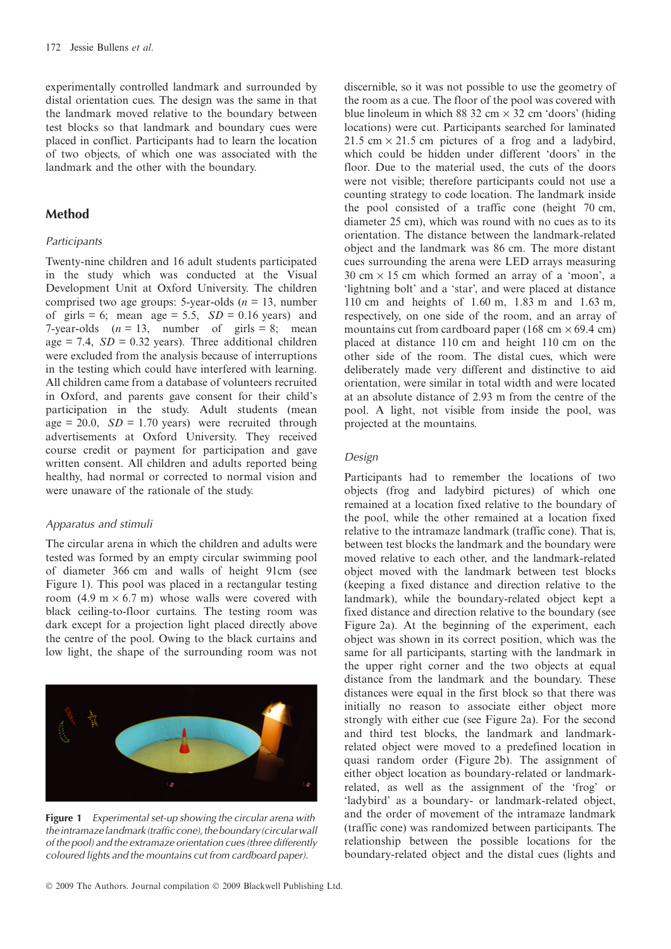experimentally controlled landmark and surrounded by distal orientation cues. The design was the same in that the landmark moved relative to the boundary between test blocks so that landmark and boundary cues were placed in conflict. Participants had to learn the location of two objects, of which one was associated with the landmark and the other with the boundary.

## Method

### Participants

Twenty-nine children and 16 adult students participated in the study which was conducted at the Visual Development Unit at Oxford University. The children comprised two age groups: 5-year-olds ( $n = 13$ , number of girls = 6; mean age = 5.5,  $SD = 0.16$  years) and 7-year-olds  $(n = 13,$  number of girls = 8; mean age = 7.4,  $SD = 0.32$  years). Three additional children were excluded from the analysis because of interruptions in the testing which could have interfered with learning. All children came from a database of volunteers recruited in Oxford, and parents gave consent for their child's participation in the study. Adult students (mean age = 20.0,  $SD = 1.70$  years) were recruited through advertisements at Oxford University. They received course credit or payment for participation and gave written consent. All children and adults reported being healthy, had normal or corrected to normal vision and were unaware of the rationale of the study.

#### Apparatus and stimuli

The circular arena in which the children and adults were tested was formed by an empty circular swimming pool of diameter 366 cm and walls of height 91cm (see Figure 1). This pool was placed in a rectangular testing room  $(4.9 \text{ m} \times 6.7 \text{ m})$  whose walls were covered with black ceiling-to-floor curtains. The testing room was dark except for a projection light placed directly above the centre of the pool. Owing to the black curtains and low light, the shape of the surrounding room was not



the intramaze landmark (traffic cone), the boundary (circular wall of the pool) and the extramaze orientation cues (three differently coloured lights and the mountains cut from cardboard paper).

discernible, so it was not possible to use the geometry of the room as a cue. The floor of the pool was covered with blue linoleum in which 88 32 cm  $\times$  32 cm 'doors' (hiding locations) were cut. Participants searched for laminated 21.5 cm  $\times$  21.5 cm pictures of a frog and a ladybird, which could be hidden under different 'doors' in the floor. Due to the material used, the cuts of the doors were not visible; therefore participants could not use a counting strategy to code location. The landmark inside the pool consisted of a traffic cone (height 70 cm, diameter 25 cm), which was round with no cues as to its orientation. The distance between the landmark-related object and the landmark was 86 cm. The more distant cues surrounding the arena were LED arrays measuring 30 cm  $\times$  15 cm which formed an array of a 'moon', a 'lightning bolt' and a 'star', and were placed at distance 110 cm and heights of 1.60 m, 1.83 m and 1.63 m, respectively, on one side of the room, and an array of mountains cut from cardboard paper (168 cm  $\times$  69.4 cm) placed at distance 110 cm and height 110 cm on the other side of the room. The distal cues, which were deliberately made very different and distinctive to aid orientation, were similar in total width and were located at an absolute distance of 2.93 m from the centre of the pool. A light, not visible from inside the pool, was projected at the mountains.

#### Design

Participants had to remember the locations of two objects (frog and ladybird pictures) of which one remained at a location fixed relative to the boundary of the pool, while the other remained at a location fixed relative to the intramaze landmark (traffic cone). That is, between test blocks the landmark and the boundary were moved relative to each other, and the landmark-related object moved with the landmark between test blocks (keeping a fixed distance and direction relative to the landmark), while the boundary-related object kept a fixed distance and direction relative to the boundary (see Figure 2a). At the beginning of the experiment, each object was shown in its correct position, which was the same for all participants, starting with the landmark in the upper right corner and the two objects at equal distance from the landmark and the boundary. These distances were equal in the first block so that there was initially no reason to associate either object more strongly with either cue (see Figure 2a). For the second and third test blocks, the landmark and landmarkrelated object were moved to a predefined location in quasi random order (Figure 2b). The assignment of either object location as boundary-related or landmarkrelated, as well as the assignment of the 'frog' or 'ladybird' as a boundary- or landmark-related object, and the order of movement of the intramaze landmark (traffic cone) was randomized between participants. The relationship between the possible locations for the boundary-related object and the distal cues (lights and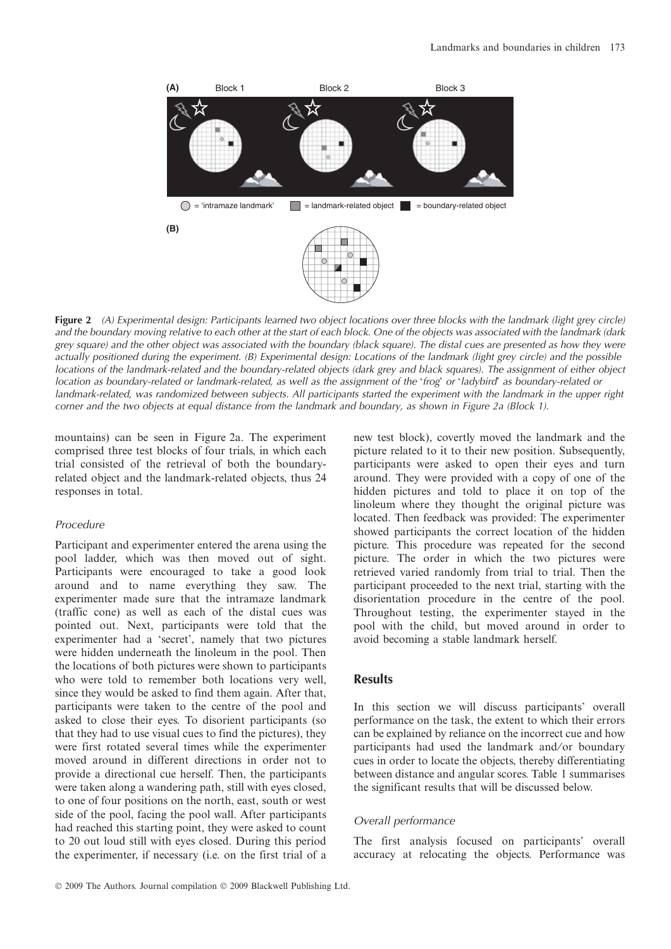

Figure 2 (A) Experimental design: Participants learned two object locations over three blocks with the landmark (light grey circle) and the boundary moving relative to each other at the start of each block. One of the objects was associated with the landmark (dark grey square) and the other object was associated with the boundary (black square). The distal cues are presented as how they were actually positioned during the experiment. (B) Experimental design: Locations of the landmark (light grey circle) and the possible locations of the landmark-related and the boundary-related objects (dark grey and black squares). The assignment of either object location as boundary-related or landmark-related, as well as the assignment of the 'frog' or 'ladybird' as boundary-related or landmark-related, was randomized between subjects. All participants started the experiment with the landmark in the upper right corner and the two objects at equal distance from the landmark and boundary, as shown in Figure 2a (Block 1).

mountains) can be seen in Figure 2a. The experiment comprised three test blocks of four trials, in which each trial consisted of the retrieval of both the boundaryrelated object and the landmark-related objects, thus 24 responses in total.

#### Procedure

Participant and experimenter entered the arena using the pool ladder, which was then moved out of sight. Participants were encouraged to take a good look around and to name everything they saw. The experimenter made sure that the intramaze landmark (traffic cone) as well as each of the distal cues was pointed out. Next, participants were told that the experimenter had a 'secret', namely that two pictures were hidden underneath the linoleum in the pool. Then the locations of both pictures were shown to participants who were told to remember both locations very well, since they would be asked to find them again. After that, participants were taken to the centre of the pool and asked to close their eyes. To disorient participants (so that they had to use visual cues to find the pictures), they were first rotated several times while the experimenter moved around in different directions in order not to provide a directional cue herself. Then, the participants were taken along a wandering path, still with eyes closed. to one of four positions on the north, east, south or west side of the pool, facing the pool wall. After participants had reached this starting point, they were asked to count to 20 out loud still with eyes closed. During this period the experimenter, if necessary (i.e. on the first trial of a new test block), covertly moved the landmark and the picture related to it to their new position. Subsequently, participants were asked to open their eyes and turn around. They were provided with a copy of one of the hidden pictures and told to place it on top of the linoleum where they thought the original picture was located. Then feedback was provided: The experimenter showed participants the correct location of the hidden picture. This procedure was repeated for the second picture. The order in which the two pictures were retrieved varied randomly from trial to trial. Then the participant proceeded to the next trial, starting with the disorientation procedure in the centre of the pool. Throughout testing, the experimenter stayed in the pool with the child, but moved around in order to avoid becoming a stable landmark herself.

## Results

In this section we will discuss participants' overall performance on the task, the extent to which their errors can be explained by reliance on the incorrect cue and how participants had used the landmark and/or boundary cues in order to locate the objects, thereby differentiating between distance and angular scores. Table 1 summarises the significant results that will be discussed below.

#### Overall performance

The first analysis focused on participants' overall accuracy at relocating the objects. Performance was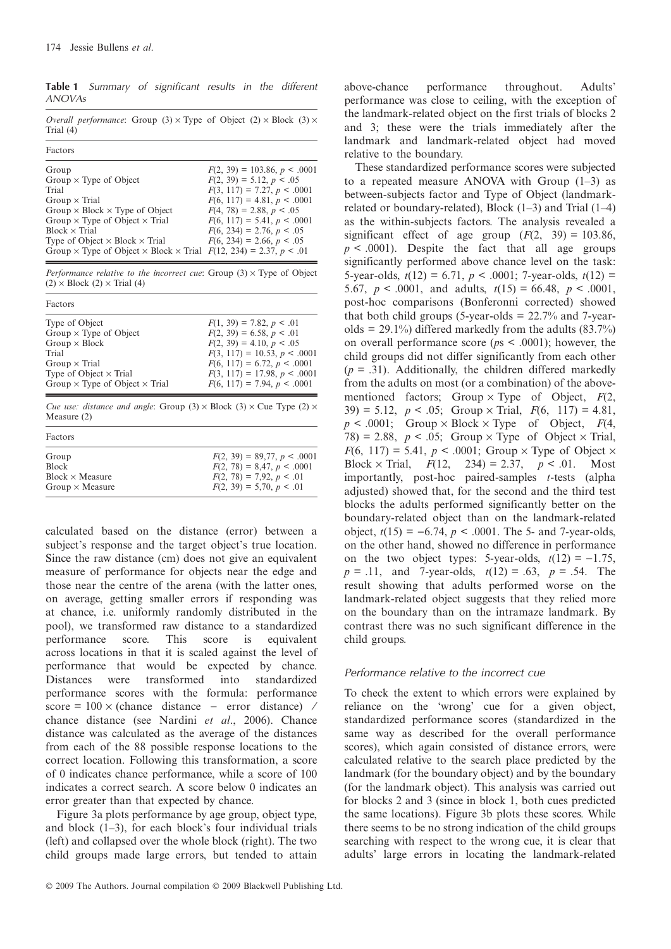Table 1 Summary of significant results in the different ANOVAs

| <i>Overall performance:</i> Group (3) $\times$ Type of Object (2) $\times$ Block (3) $\times$<br>Trial (4)                                                                                                                                                                                                                                     |                                                                                                                                                                                                                                                             |
|------------------------------------------------------------------------------------------------------------------------------------------------------------------------------------------------------------------------------------------------------------------------------------------------------------------------------------------------|-------------------------------------------------------------------------------------------------------------------------------------------------------------------------------------------------------------------------------------------------------------|
| Factors                                                                                                                                                                                                                                                                                                                                        |                                                                                                                                                                                                                                                             |
| Group<br>Group $\times$ Type of Object<br>Trial<br>Group $\times$ Trial<br>Group $\times$ Block $\times$ Type of Object<br>Group $\times$ Type of Object $\times$ Trial<br>$Block \times Trial$<br>Type of Object $\times$ Block $\times$ Trial<br>Group $\times$ Type of Object $\times$ Block $\times$ Trial $F(12, 234) = 2.37, p \le 0.01$ | $F(2, 39) = 103.86, p < .0001$<br>$F(2, 39) = 5.12, p < .05$<br>$F(3, 117) = 7.27, p < .0001$<br>$F(6, 117) = 4.81, p < .0001$<br>$F(4, 78) = 2.88, p < .05$<br>$F(6, 117) = 5.41, p < .0001$<br>$F(6, 234) = 2.76, p < .05$<br>$F(6, 234) = 2.66, p < .05$ |
| <i>Performance relative to the incorrect cue:</i> Group $(3) \times$ Type of Object<br>$(2) \times Block$ (2) $\times$ Trial (4)                                                                                                                                                                                                               |                                                                                                                                                                                                                                                             |
| Factors                                                                                                                                                                                                                                                                                                                                        |                                                                                                                                                                                                                                                             |
| Type of Object<br>Group $\times$ Type of Object<br>Group $\times$ Block<br>Trial<br>Group $\times$ Trial<br>Type of Object $\times$ Trial<br>Group $\times$ Type of Object $\times$ Trial                                                                                                                                                      | $F(1, 39) = 7.82, p < .01$<br>$F(2, 39) = 6.58, p < .01$<br>$F(2, 39) = 4.10, p < .05$<br>$F(3, 117) = 10.53, p < .0001$<br>$F(6, 117) = 6.72, p < .0001$<br>$F(3, 117) = 17.98, p < .0001$<br>$F(6, 117) = 7.94, p < .0001$                                |
| <i>Cue use: distance and angle:</i> Group (3) $\times$ Block (3) $\times$ Cue Type (2) $\times$<br>Measure $(2)$                                                                                                                                                                                                                               |                                                                                                                                                                                                                                                             |
| Factors                                                                                                                                                                                                                                                                                                                                        |                                                                                                                                                                                                                                                             |

| Factors                |                               |
|------------------------|-------------------------------|
| Group                  | $F(2, 39) = 89,77, p < .0001$ |
| Block                  | $F(2, 78) = 8,47, p < .0001$  |
| $Block \times Measure$ | $F(2, 78) = 7,92, p < .01$    |
| Group $\times$ Measure | $F(2, 39) = 5,70, p < .01$    |

calculated based on the distance (error) between a subject's response and the target object's true location. Since the raw distance (cm) does not give an equivalent measure of performance for objects near the edge and those near the centre of the arena (with the latter ones, on average, getting smaller errors if responding was at chance, i.e. uniformly randomly distributed in the pool), we transformed raw distance to a standardized performance score. This score is equivalent across locations in that it is scaled against the level of performance that would be expected by chance. Distances were transformed into standardized performance scores with the formula: performance score =  $100 \times$  (chance distance – error distance) / chance distance (see Nardini et al., 2006). Chance distance was calculated as the average of the distances from each of the 88 possible response locations to the correct location. Following this transformation, a score of 0 indicates chance performance, while a score of 100 indicates a correct search. A score below 0 indicates an error greater than that expected by chance.

Figure 3a plots performance by age group, object type, and block  $(1-3)$ , for each block's four individual trials (left) and collapsed over the whole block (right). The two child groups made large errors, but tended to attain

© 2009 The Authors. Journal compilation © 2009 Blackwell Publishing Ltd.

above-chance performance throughout. Adults' performance was close to ceiling, with the exception of the landmark-related object on the first trials of blocks 2 and 3; these were the trials immediately after the landmark and landmark-related object had moved relative to the boundary.

These standardized performance scores were subjected to a repeated measure ANOVA with Group  $(1-3)$  as between-subjects factor and Type of Object (landmarkrelated or boundary-related), Block (1–3) and Trial (1–4) as the within-subjects factors. The analysis revealed a significant effect of age group  $(F(2, 39) = 103.86,$  $p \leq .0001$ ). Despite the fact that all age groups significantly performed above chance level on the task: 5-year-olds,  $t(12) = 6.71$ ,  $p < .0001$ ; 7-year-olds,  $t(12) =$ 5.67,  $p < .0001$ , and adults,  $t(15) = 66.48$ ,  $p < .0001$ , post-hoc comparisons (Bonferonni corrected) showed that both child groups (5-year-olds  $= 22.7\%$  and 7-yearolds = 29.1%) differed markedly from the adults  $(83.7\%)$ on overall performance score ( $ps < .0001$ ); however, the child groups did not differ significantly from each other  $(p = .31)$ . Additionally, the children differed markedly from the adults on most (or a combination) of the abovementioned factors; Group  $\times$  Type of Object,  $F(2, \theta)$  $39$ ) = 5.12,  $p < .05$ ; Group × Trial,  $F(6, 117) = 4.81$ ,  $p < .0001$ ; Group × Block × Type of Object,  $F(4, 1)$ 78) = 2.88,  $p < .05$ ; Group × Type of Object × Trial,  $F(6, 117) = 5.41$ ,  $p < .0001$ ; Group  $\times$  Type of Object  $\times$ Block  $\times$  Trial,  $F(12, 234) = 2.37, p < .01$ . Most importantly, post-hoc paired-samples t-tests (alpha adjusted) showed that, for the second and the third test blocks the adults performed significantly better on the boundary-related object than on the landmark-related object,  $t(15) = -6.74$ ,  $p < .0001$ . The 5- and 7-year-olds, on the other hand, showed no difference in performance on the two object types: 5-year-olds,  $t(12) = -1.75$ ,  $p = .11$ , and 7-year-olds,  $t(12) = .63$ ,  $p = .54$ . The result showing that adults performed worse on the landmark-related object suggests that they relied more on the boundary than on the intramaze landmark. By contrast there was no such significant difference in the child groups.

#### Performance relative to the incorrect cue

To check the extent to which errors were explained by reliance on the 'wrong' cue for a given object, standardized performance scores (standardized in the same way as described for the overall performance scores), which again consisted of distance errors, were calculated relative to the search place predicted by the landmark (for the boundary object) and by the boundary (for the landmark object). This analysis was carried out for blocks 2 and 3 (since in block 1, both cues predicted the same locations). Figure 3b plots these scores. While there seems to be no strong indication of the child groups searching with respect to the wrong cue, it is clear that adults' large errors in locating the landmark-related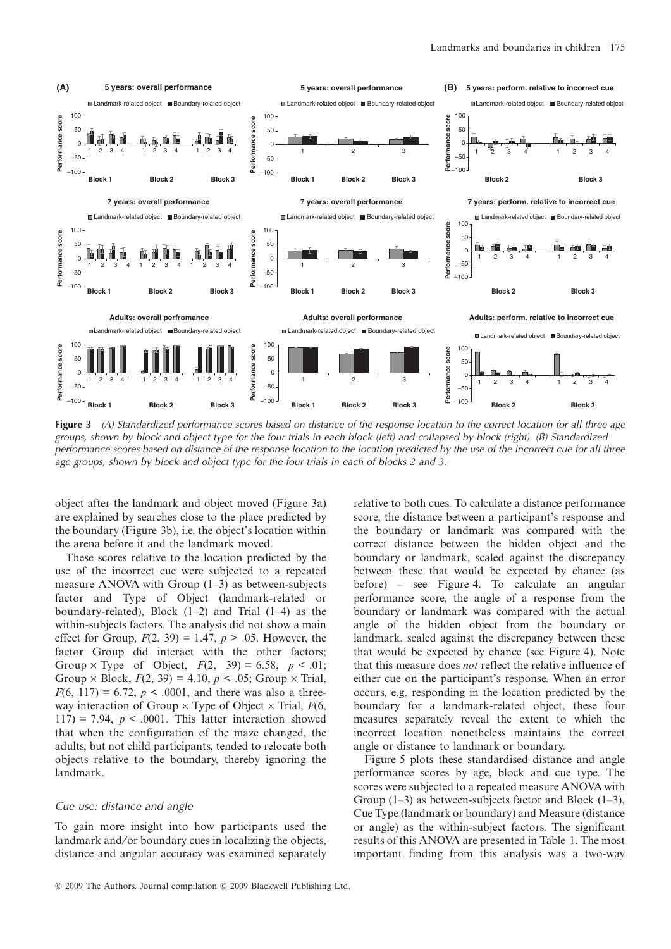

Figure 3 (A) Standardized performance scores based on distance of the response location to the correct location for all three age groups, shown by block and object type for the four trials in each block (left) and collapsed by block (right). (B) Standardized performance scores based on distance of the response location to the location predicted by the use of the incorrect cue for all three age groups, shown by block and object type for the four trials in each of blocks 2 and 3.

object after the landmark and object moved (Figure 3a) are explained by searches close to the place predicted by the boundary (Figure 3b), i.e. the object's location within the arena before it and the landmark moved.

These scores relative to the location predicted by the use of the incorrect cue were subjected to a repeated measure ANOVA with Group  $(1-3)$  as between-subjects factor and Type of Object (landmark-related or boundary-related), Block  $(1-2)$  and Trial  $(1-4)$  as the within-subjects factors. The analysis did not show a main effect for Group,  $F(2, 39) = 1.47$ ,  $p > .05$ . However, the factor Group did interact with the other factors; Group  $\times$  Type of Object,  $F(2, 39) = 6.58$ ,  $p < .01$ ; Group  $\times$  Block,  $F(2, 39) = 4.10$ ,  $p < .05$ ; Group  $\times$  Trial,  $F(6, 117) = 6.72, p < .0001$ , and there was also a threeway interaction of Group  $\times$  Type of Object  $\times$  Trial,  $F(6, \theta)$ 117) = 7.94,  $p < .0001$ . This latter interaction showed that when the configuration of the maze changed, the adults, but not child participants, tended to relocate both objects relative to the boundary, thereby ignoring the landmark.

#### Cue use: distance and angle

To gain more insight into how participants used the landmark and/or boundary cues in localizing the objects, distance and angular accuracy was examined separately

© 2009 The Authors. Journal compilation © 2009 Blackwell Publishing Ltd.

relative to both cues. To calculate a distance performance score, the distance between a participant's response and the boundary or landmark was compared with the correct distance between the hidden object and the boundary or landmark, scaled against the discrepancy between these that would be expected by chance (as before) – see Figure 4. To calculate an angular performance score, the angle of a response from the boundary or landmark was compared with the actual angle of the hidden object from the boundary or landmark, scaled against the discrepancy between these that would be expected by chance (see Figure 4). Note that this measure does not reflect the relative influence of either cue on the participant's response. When an error occurs, e.g. responding in the location predicted by the boundary for a landmark-related object, these four measures separately reveal the extent to which the incorrect location nonetheless maintains the correct angle or distance to landmark or boundary.

Figure 5 plots these standardised distance and angle performance scores by age, block and cue type. The scores were subjected to a repeated measure ANOVA with Group  $(1-3)$  as between-subjects factor and Block  $(1-3)$ , Cue Type (landmark or boundary) and Measure (distance or angle) as the within-subject factors. The significant results of this ANOVA are presented in Table 1. The most important finding from this analysis was a two-way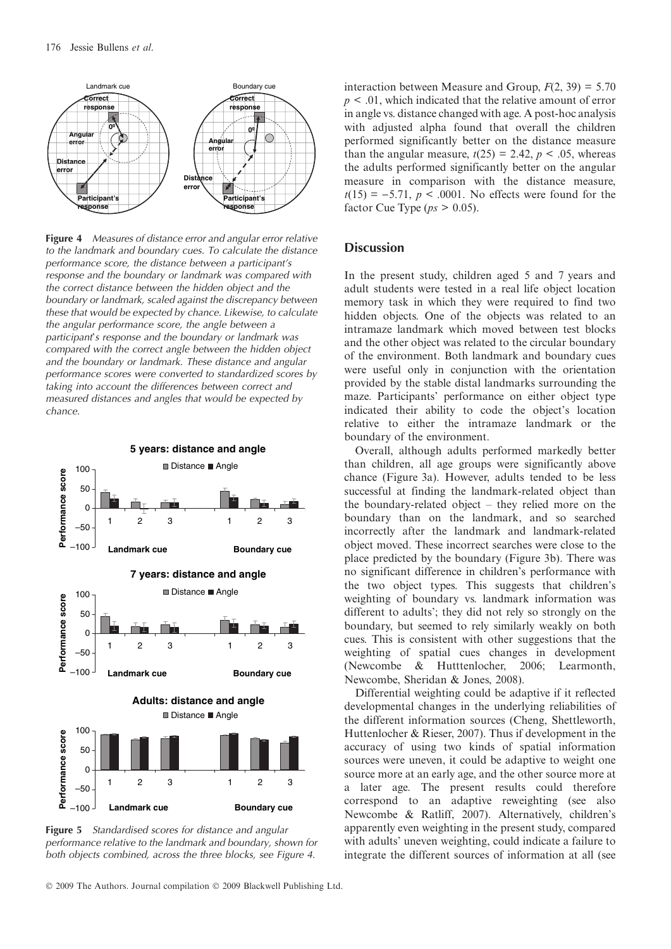

Figure 4 Measures of distance error and angular error relative to the landmark and boundary cues. To calculate the distance performance score, the distance between a participant's response and the boundary or landmark was compared with the correct distance between the hidden object and the boundary or landmark, scaled against the discrepancy between these that would be expected by chance. Likewise, to calculate the angular performance score, the angle between a participant's response and the boundary or landmark was compared with the correct angle between the hidden object and the boundary or landmark. These distance and angular performance scores were converted to standardized scores by taking into account the differences between correct and measured distances and angles that would be expected by chance.



Figure 5 Standardised scores for distance and angular performance relative to the landmark and boundary, shown for both objects combined, across the three blocks, see Figure 4.

© 2009 The Authors. Journal compilation © 2009 Blackwell Publishing Ltd.

interaction between Measure and Group,  $F(2, 39) = 5.70$  $p \leq 0.01$ , which indicated that the relative amount of error in angle vs. distance changed with age. A post-hoc analysis with adjusted alpha found that overall the children performed significantly better on the distance measure than the angular measure,  $t(25) = 2.42$ ,  $p < .05$ , whereas the adults performed significantly better on the angular measure in comparison with the distance measure,  $t(15) = -5.71$ ,  $p < .0001$ . No effects were found for the factor Cue Type ( $ps > 0.05$ ).

## **Discussion**

In the present study, children aged 5 and 7 years and adult students were tested in a real life object location memory task in which they were required to find two hidden objects. One of the objects was related to an intramaze landmark which moved between test blocks and the other object was related to the circular boundary of the environment. Both landmark and boundary cues were useful only in conjunction with the orientation provided by the stable distal landmarks surrounding the maze. Participants' performance on either object type indicated their ability to code the object's location relative to either the intramaze landmark or the boundary of the environment.

Overall, although adults performed markedly better than children, all age groups were significantly above chance (Figure 3a). However, adults tended to be less successful at finding the landmark-related object than the boundary-related object – they relied more on the boundary than on the landmark, and so searched incorrectly after the landmark and landmark-related object moved. These incorrect searches were close to the place predicted by the boundary (Figure 3b). There was no significant difference in children's performance with the two object types. This suggests that children's weighting of boundary vs. landmark information was different to adults'; they did not rely so strongly on the boundary, but seemed to rely similarly weakly on both cues. This is consistent with other suggestions that the weighting of spatial cues changes in development (Newcombe & Hutttenlocher, 2006; Learmonth, Newcombe, Sheridan & Jones, 2008).

Differential weighting could be adaptive if it reflected developmental changes in the underlying reliabilities of the different information sources (Cheng, Shettleworth, Huttenlocher & Rieser, 2007). Thus if development in the accuracy of using two kinds of spatial information sources were uneven, it could be adaptive to weight one source more at an early age, and the other source more at a later age. The present results could therefore correspond to an adaptive reweighting (see also Newcombe & Ratliff, 2007). Alternatively, children's apparently even weighting in the present study, compared with adults' uneven weighting, could indicate a failure to integrate the different sources of information at all (see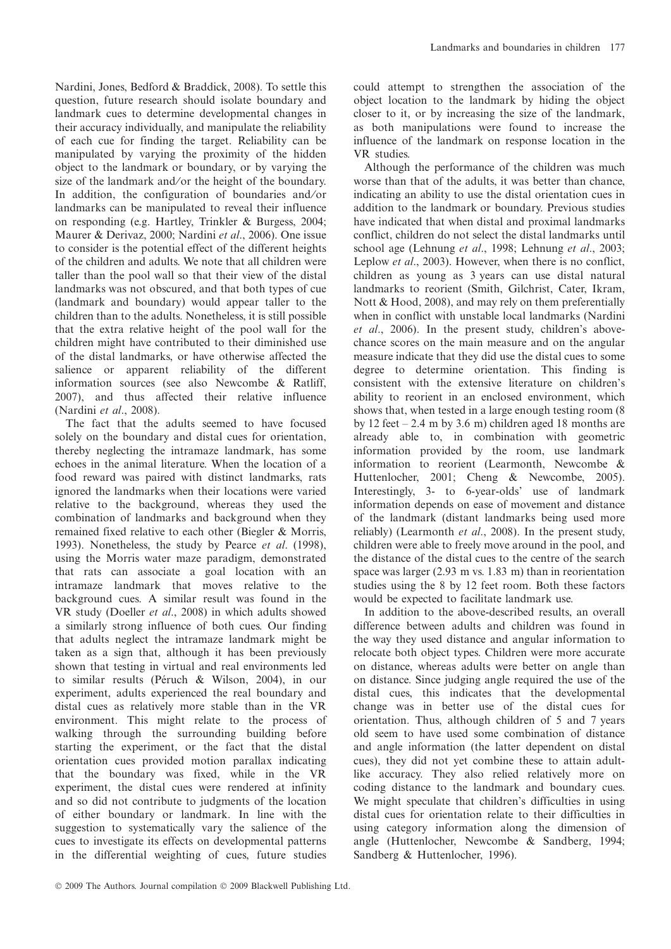Nardini, Jones, Bedford & Braddick, 2008). To settle this question, future research should isolate boundary and landmark cues to determine developmental changes in their accuracy individually, and manipulate the reliability of each cue for finding the target. Reliability can be manipulated by varying the proximity of the hidden object to the landmark or boundary, or by varying the size of the landmark and/or the height of the boundary. In addition, the configuration of boundaries and/or landmarks can be manipulated to reveal their influence on responding (e.g. Hartley, Trinkler & Burgess, 2004; Maurer & Derivaz, 2000; Nardini et al., 2006). One issue to consider is the potential effect of the different heights of the children and adults. We note that all children were taller than the pool wall so that their view of the distal landmarks was not obscured, and that both types of cue (landmark and boundary) would appear taller to the children than to the adults. Nonetheless, it is still possible that the extra relative height of the pool wall for the children might have contributed to their diminished use of the distal landmarks, or have otherwise affected the salience or apparent reliability of the different information sources (see also Newcombe & Ratliff, 2007), and thus affected their relative influence (Nardini et al., 2008).

The fact that the adults seemed to have focused solely on the boundary and distal cues for orientation, thereby neglecting the intramaze landmark, has some echoes in the animal literature. When the location of a food reward was paired with distinct landmarks, rats ignored the landmarks when their locations were varied relative to the background, whereas they used the combination of landmarks and background when they remained fixed relative to each other (Biegler & Morris, 1993). Nonetheless, the study by Pearce et al. (1998), using the Morris water maze paradigm, demonstrated that rats can associate a goal location with an intramaze landmark that moves relative to the background cues. A similar result was found in the VR study (Doeller et al., 2008) in which adults showed a similarly strong influence of both cues. Our finding that adults neglect the intramaze landmark might be taken as a sign that, although it has been previously shown that testing in virtual and real environments led to similar results (Péruch & Wilson, 2004), in our experiment, adults experienced the real boundary and distal cues as relatively more stable than in the VR environment. This might relate to the process of walking through the surrounding building before starting the experiment, or the fact that the distal orientation cues provided motion parallax indicating that the boundary was fixed, while in the VR experiment, the distal cues were rendered at infinity and so did not contribute to judgments of the location of either boundary or landmark. In line with the suggestion to systematically vary the salience of the cues to investigate its effects on developmental patterns in the differential weighting of cues, future studies could attempt to strengthen the association of the object location to the landmark by hiding the object closer to it, or by increasing the size of the landmark, as both manipulations were found to increase the influence of the landmark on response location in the VR studies.

Although the performance of the children was much worse than that of the adults, it was better than chance, indicating an ability to use the distal orientation cues in addition to the landmark or boundary. Previous studies have indicated that when distal and proximal landmarks conflict, children do not select the distal landmarks until school age (Lehnung et al., 1998; Lehnung et al., 2003; Leplow *et al.*, 2003). However, when there is no conflict, children as young as 3 years can use distal natural landmarks to reorient (Smith, Gilchrist, Cater, Ikram, Nott & Hood, 2008), and may rely on them preferentially when in conflict with unstable local landmarks (Nardini et al., 2006). In the present study, children's abovechance scores on the main measure and on the angular measure indicate that they did use the distal cues to some degree to determine orientation. This finding is consistent with the extensive literature on children's ability to reorient in an enclosed environment, which shows that, when tested in a large enough testing room (8 by 12 feet – 2.4 m by 3.6 m) children aged 18 months are already able to, in combination with geometric information provided by the room, use landmark information to reorient (Learmonth, Newcombe & Huttenlocher, 2001; Cheng & Newcombe, 2005). Interestingly, 3- to 6-year-olds' use of landmark information depends on ease of movement and distance of the landmark (distant landmarks being used more reliably) (Learmonth et al., 2008). In the present study, children were able to freely move around in the pool, and the distance of the distal cues to the centre of the search space was larger (2.93 m vs. 1.83 m) than in reorientation studies using the 8 by 12 feet room. Both these factors would be expected to facilitate landmark use.

In addition to the above-described results, an overall difference between adults and children was found in the way they used distance and angular information to relocate both object types. Children were more accurate on distance, whereas adults were better on angle than on distance. Since judging angle required the use of the distal cues, this indicates that the developmental change was in better use of the distal cues for orientation. Thus, although children of 5 and 7 years old seem to have used some combination of distance and angle information (the latter dependent on distal cues), they did not yet combine these to attain adultlike accuracy. They also relied relatively more on coding distance to the landmark and boundary cues. We might speculate that children's difficulties in using distal cues for orientation relate to their difficulties in using category information along the dimension of angle (Huttenlocher, Newcombe & Sandberg, 1994; Sandberg & Huttenlocher, 1996).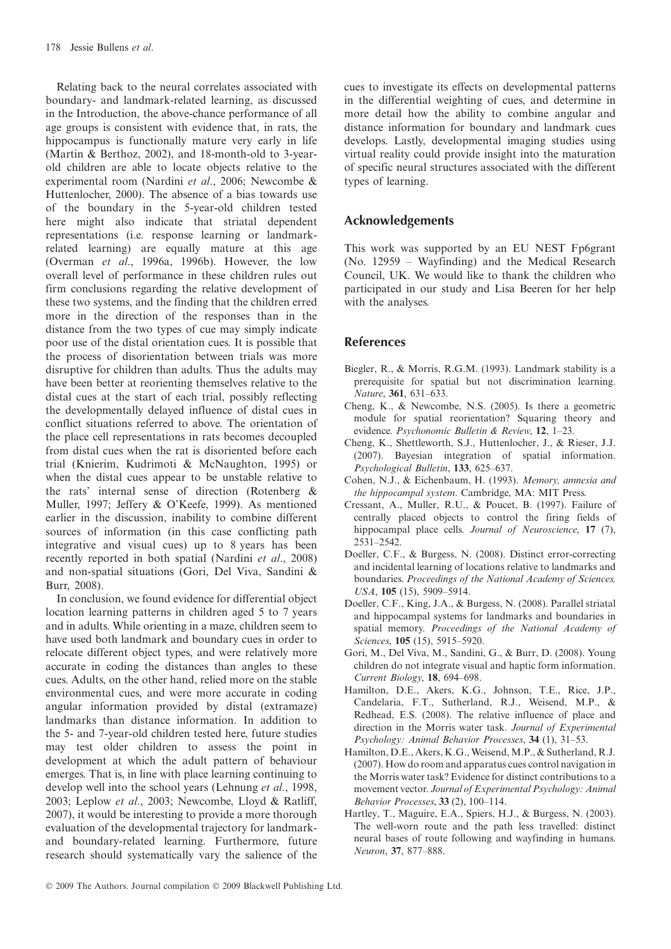Relating back to the neural correlates associated with boundary- and landmark-related learning, as discussed in the Introduction, the above-chance performance of all age groups is consistent with evidence that, in rats, the hippocampus is functionally mature very early in life (Martin & Berthoz, 2002), and 18-month-old to 3-yearold children are able to locate objects relative to the experimental room (Nardini et al., 2006; Newcombe & Huttenlocher, 2000). The absence of a bias towards use of the boundary in the 5-year-old children tested here might also indicate that striatal dependent representations (i.e. response learning or landmarkrelated learning) are equally mature at this age (Overman et al., 1996a, 1996b). However, the low overall level of performance in these children rules out firm conclusions regarding the relative development of these two systems, and the finding that the children erred more in the direction of the responses than in the distance from the two types of cue may simply indicate poor use of the distal orientation cues. It is possible that the process of disorientation between trials was more disruptive for children than adults. Thus the adults may have been better at reorienting themselves relative to the distal cues at the start of each trial, possibly reflecting the developmentally delayed influence of distal cues in conflict situations referred to above. The orientation of the place cell representations in rats becomes decoupled from distal cues when the rat is disoriented before each trial (Knierim, Kudrimoti & McNaughton, 1995) or when the distal cues appear to be unstable relative to the rats' internal sense of direction (Rotenberg & Muller, 1997; Jeffery & O'Keefe, 1999). As mentioned earlier in the discussion, inability to combine different sources of information (in this case conflicting path integrative and visual cues) up to 8 years has been recently reported in both spatial (Nardini et al., 2008) and non-spatial situations (Gori, Del Viva, Sandini & Burr, 2008).

In conclusion, we found evidence for differential object location learning patterns in children aged 5 to 7 years and in adults. While orienting in a maze, children seem to have used both landmark and boundary cues in order to relocate different object types, and were relatively more accurate in coding the distances than angles to these cues. Adults, on the other hand, relied more on the stable environmental cues, and were more accurate in coding angular information provided by distal (extramaze) landmarks than distance information. In addition to the 5- and 7-year-old children tested here, future studies may test older children to assess the point in development at which the adult pattern of behaviour emerges. That is, in line with place learning continuing to develop well into the school years (Lehnung *et al.*, 1998, 2003; Leplow et al., 2003; Newcombe, Lloyd & Ratliff, 2007), it would be interesting to provide a more thorough evaluation of the developmental trajectory for landmarkand boundary-related learning. Furthermore, future research should systematically vary the salience of the cues to investigate its effects on developmental patterns in the differential weighting of cues, and determine in more detail how the ability to combine angular and distance information for boundary and landmark cues develops. Lastly, developmental imaging studies using virtual reality could provide insight into the maturation of specific neural structures associated with the different types of learning.

## Acknowledgements

This work was supported by an EU NEST Fp6grant (No. 12959 – Wayfinding) and the Medical Research Council, UK. We would like to thank the children who participated in our study and Lisa Beeren for her help with the analyses.

## References

- Biegler, R., & Morris, R.G.M. (1993). Landmark stability is a prerequisite for spatial but not discrimination learning. Nature, 361, 631–633.
- Cheng, K., & Newcombe, N.S. (2005). Is there a geometric module for spatial reorientation? Squaring theory and evidence. Psychonomic Bulletin & Review, 12, 1–23.
- Cheng, K., Shettleworth, S.J., Huttenlocher, J., & Rieser, J.J. (2007). Bayesian integration of spatial information. Psychological Bulletin, 133, 625–637.
- Cohen, N.J., & Eichenbaum, H. (1993). Memory, amnesia and the hippocampal system. Cambridge, MA: MIT Press.
- Cressant, A., Muller, R.U., & Poucet, B. (1997). Failure of centrally placed objects to control the firing fields of hippocampal place cells. Journal of Neuroscience, 17 (7), 2531–2542.
- Doeller, C.F., & Burgess, N. (2008). Distinct error-correcting and incidental learning of locations relative to landmarks and boundaries. Proceedings of the National Academy of Sciences, USA, 105 (15), 5909–5914.
- Doeller, C.F., King, J.A., & Burgess, N. (2008). Parallel striatal and hippocampal systems for landmarks and boundaries in spatial memory. Proceedings of the National Academy of Sciences, **105** (15), 5915–5920.
- Gori, M., Del Viva, M., Sandini, G., & Burr, D. (2008). Young children do not integrate visual and haptic form information. Current Biology, 18, 694–698.
- Hamilton, D.E., Akers, K.G., Johnson, T.E., Rice, J.P., Candelaria, F.T., Sutherland, R.J., Weisend, M.P., & Redhead, E.S. (2008). The relative influence of place and direction in the Morris water task. Journal of Experimental Psychology: Animal Behavior Processes, 34 (1), 31–53.
- Hamilton, D.E., Akers, K.G., Weisend, M.P., & Sutherland, R.J. (2007). How do room and apparatus cues control navigation in the Morris water task? Evidence for distinct contributions to a movement vector. Journal of Experimental Psychology: Animal Behavior Processes, 33 (2), 100–114.
- Hartley, T., Maguire, E.A., Spiers, H.J., & Burgess, N. (2003). The well-worn route and the path less travelled: distinct neural bases of route following and wayfinding in humans. Neuron, 37, 877–888.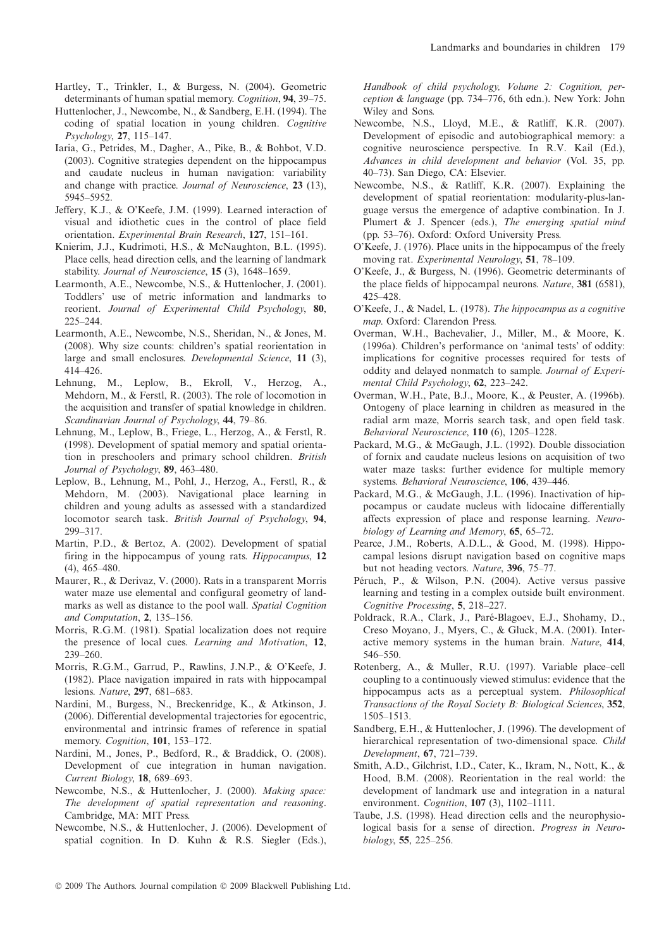- Hartley, T., Trinkler, I., & Burgess, N. (2004). Geometric determinants of human spatial memory. Cognition, 94, 39–75.
- Huttenlocher, J., Newcombe, N., & Sandberg, E.H. (1994). The coding of spatial location in young children. Cognitive Psychology, 27, 115–147.
- Iaria, G., Petrides, M., Dagher, A., Pike, B., & Bohbot, V.D. (2003). Cognitive strategies dependent on the hippocampus and caudate nucleus in human navigation: variability and change with practice. Journal of Neuroscience, 23 (13), 5945–5952.
- Jeffery, K.J., & O'Keefe, J.M. (1999). Learned interaction of visual and idiothetic cues in the control of place field orientation. Experimental Brain Research, 127, 151–161.
- Knierim, J.J., Kudrimoti, H.S., & McNaughton, B.L. (1995). Place cells, head direction cells, and the learning of landmark stability. Journal of Neuroscience, 15 (3), 1648-1659.
- Learmonth, A.E., Newcombe, N.S., & Huttenlocher, J. (2001). Toddlers' use of metric information and landmarks to reorient. Journal of Experimental Child Psychology, 80, 225–244.
- Learmonth, A.E., Newcombe, N.S., Sheridan, N., & Jones, M. (2008). Why size counts: children's spatial reorientation in large and small enclosures. Developmental Science, 11 (3), 414–426.
- Lehnung, M., Leplow, B., Ekroll, V., Herzog, A., Mehdorn, M., & Ferstl, R. (2003). The role of locomotion in the acquisition and transfer of spatial knowledge in children. Scandinavian Journal of Psychology, 44, 79–86.
- Lehnung, M., Leplow, B., Friege, L., Herzog, A., & Ferstl, R. (1998). Development of spatial memory and spatial orientation in preschoolers and primary school children. British Journal of Psychology, 89, 463–480.
- Leplow, B., Lehnung, M., Pohl, J., Herzog, A., Ferstl, R., & Mehdorn, M. (2003). Navigational place learning in children and young adults as assessed with a standardized locomotor search task. British Journal of Psychology, 94, 299–317.
- Martin, P.D., & Bertoz, A. (2002). Development of spatial firing in the hippocampus of young rats. *Hippocampus*, 12 (4), 465–480.
- Maurer, R., & Derivaz, V. (2000). Rats in a transparent Morris water maze use elemental and configural geometry of landmarks as well as distance to the pool wall. Spatial Cognition and Computation, 2, 135–156.
- Morris, R.G.M. (1981). Spatial localization does not require the presence of local cues. Learning and Motivation, 12, 239–260.
- Morris, R.G.M., Garrud, P., Rawlins, J.N.P., & O'Keefe, J. (1982). Place navigation impaired in rats with hippocampal lesions. Nature, 297, 681–683.
- Nardini, M., Burgess, N., Breckenridge, K., & Atkinson, J. (2006). Differential developmental trajectories for egocentric, environmental and intrinsic frames of reference in spatial memory. *Cognition*, **101**, 153-172.
- Nardini, M., Jones, P., Bedford, R., & Braddick, O. (2008). Development of cue integration in human navigation. Current Biology, 18, 689–693.
- Newcombe, N.S., & Huttenlocher, J. (2000). Making space: The development of spatial representation and reasoning. Cambridge, MA: MIT Press.
- Newcombe, N.S., & Huttenlocher, J. (2006). Development of spatial cognition. In D. Kuhn & R.S. Siegler (Eds.),

Handbook of child psychology, Volume 2: Cognition, perception & language (pp. 734–776, 6th edn.). New York: John Wiley and Sons.

- Newcombe, N.S., Lloyd, M.E., & Ratliff, K.R. (2007). Development of episodic and autobiographical memory: a cognitive neuroscience perspective. In R.V. Kail (Ed.), Advances in child development and behavior (Vol. 35, pp. 40–73). San Diego, CA: Elsevier.
- Newcombe, N.S., & Ratliff, K.R. (2007). Explaining the development of spatial reorientation: modularity-plus-language versus the emergence of adaptive combination. In J. Plumert & J. Spencer (eds.), The emerging spatial mind (pp. 53–76). Oxford: Oxford University Press.
- O'Keefe, J. (1976). Place units in the hippocampus of the freely moving rat. Experimental Neurology, 51, 78-109.
- O'Keefe, J., & Burgess, N. (1996). Geometric determinants of the place fields of hippocampal neurons. Nature, 381 (6581), 425–428.
- O'Keefe, J., & Nadel, L. (1978). The hippocampus as a cognitive map. Oxford: Clarendon Press.
- Overman, W.H., Bachevalier, J., Miller, M., & Moore, K. (1996a). Children's performance on 'animal tests' of oddity: implications for cognitive processes required for tests of oddity and delayed nonmatch to sample. Journal of Experimental Child Psychology, 62, 223–242.
- Overman, W.H., Pate, B.J., Moore, K., & Peuster, A. (1996b). Ontogeny of place learning in children as measured in the radial arm maze, Morris search task, and open field task. Behavioral Neuroscience, 110 (6), 1205–1228.
- Packard, M.G., & McGaugh, J.L. (1992). Double dissociation of fornix and caudate nucleus lesions on acquisition of two water maze tasks: further evidence for multiple memory systems. Behavioral Neuroscience, 106, 439–446.
- Packard, M.G., & McGaugh, J.L. (1996). Inactivation of hippocampus or caudate nucleus with lidocaine differentially affects expression of place and response learning. Neurobiology of Learning and Memory, 65, 65–72.
- Pearce, J.M., Roberts, A.D.L., & Good, M. (1998). Hippocampal lesions disrupt navigation based on cognitive maps but not heading vectors. Nature, 396, 75–77.
- Péruch, P., & Wilson, P.N. (2004). Active versus passive learning and testing in a complex outside built environment. Cognitive Processing, 5, 218–227.
- Poldrack, R.A., Clark, J., Paré-Blagoev, E.J., Shohamy, D., Creso Moyano, J., Myers, C., & Gluck, M.A. (2001). Interactive memory systems in the human brain. Nature, 414, 546–550.
- Rotenberg, A., & Muller, R.U. (1997). Variable place–cell coupling to a continuously viewed stimulus: evidence that the hippocampus acts as a perceptual system. Philosophical Transactions of the Royal Society B: Biological Sciences, 352, 1505–1513.
- Sandberg, E.H., & Huttenlocher, J. (1996). The development of hierarchical representation of two-dimensional space. Child Development, 67, 721–739.
- Smith, A.D., Gilchrist, I.D., Cater, K., Ikram, N., Nott, K., & Hood, B.M. (2008). Reorientation in the real world: the development of landmark use and integration in a natural environment. *Cognition*, **107** (3), **1102–1111**.
- Taube, J.S. (1998). Head direction cells and the neurophysiological basis for a sense of direction. Progress in Neurobiology, 55, 225–256.